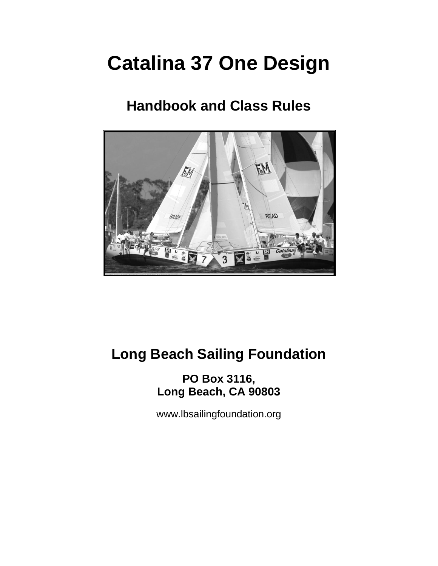# **Catalina 37 One Design**

# **Handbook and Class Rules**



# **Long Beach Sailing Foundation**

**PO Box 3116, Long Beach, CA 90803**

[www.lbsailingfoundation.org](http://www.lbsailingfoundation.org/)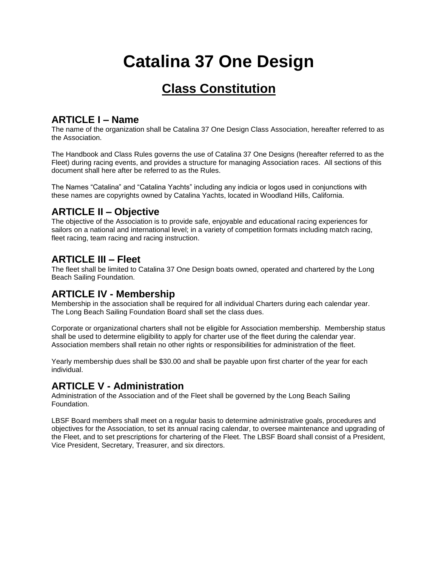# **Catalina 37 One Design**

# **Class Constitution**

### **ARTICLE I – Name**

The name of the organization shall be Catalina 37 One Design Class Association, hereafter referred to as the Association.

The Handbook and Class Rules governs the use of Catalina 37 One Designs (hereafter referred to as the Fleet) during racing events, and provides a structure for managing Association races. All sections of this document shall here after be referred to as the Rules.

The Names "Catalina" and "Catalina Yachts" including any indicia or logos used in conjunctions with these names are copyrights owned by Catalina Yachts, located in Woodland Hills, California.

### **ARTICLE II – Objective**

The objective of the Association is to provide safe, enjoyable and educational racing experiences for sailors on a national and international level; in a variety of competition formats including match racing, fleet racing, team racing and racing instruction.

### **ARTICLE III – Fleet**

The fleet shall be limited to Catalina 37 One Design boats owned, operated and chartered by the Long Beach Sailing Foundation.

### **ARTICLE IV - Membership**

Membership in the association shall be required for all individual Charters during each calendar year. The Long Beach Sailing Foundation Board shall set the class dues.

Corporate or organizational charters shall not be eligible for Association membership. Membership status shall be used to determine eligibility to apply for charter use of the fleet during the calendar year. Association members shall retain no other rights or responsibilities for administration of the fleet.

Yearly membership dues shall be \$30.00 and shall be payable upon first charter of the year for each individual.

### **ARTICLE V - Administration**

Administration of the Association and of the Fleet shall be governed by the Long Beach Sailing Foundation.

LBSF Board members shall meet on a regular basis to determine administrative goals, procedures and objectives for the Association, to set its annual racing calendar, to oversee maintenance and upgrading of the Fleet, and to set prescriptions for chartering of the Fleet. The LBSF Board shall consist of a President, Vice President, Secretary, Treasurer, and six directors.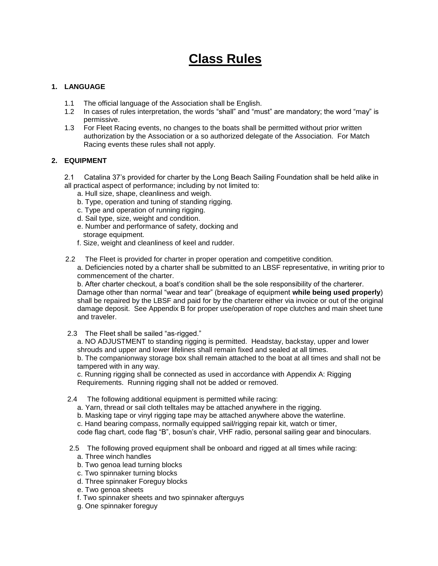# **Class Rules**

#### **1. LANGUAGE**

- 1.1 The official language of the Association shall be English.
- 1.2 In cases of rules interpretation, the words "shall" and "must" are mandatory; the word "may" is permissive.
- 1.3 For Fleet Racing events, no changes to the boats shall be permitted without prior written authorization by the Association or a so authorized delegate of the Association. For Match Racing events these rules shall not apply.

#### **2. EQUIPMENT**

- 2.1 Catalina 37's provided for charter by the Long Beach Sailing Foundation shall be held alike in all practical aspect of performance; including by not limited to:
	- a. Hull size, shape, cleanliness and weigh.
	- b. Type, operation and tuning of standing rigging.
	- c. Type and operation of running rigging.
	- d. Sail type, size, weight and condition.
	- e. Number and performance of safety, docking and storage equipment.
	- f. Size, weight and cleanliness of keel and rudder.
- 2.2 The Fleet is provided for charter in proper operation and competitive condition.

a. Deficiencies noted by a charter shall be submitted to an LBSF representative, in writing prior to commencement of the charter.

b. After charter checkout, a boat's condition shall be the sole responsibility of the charterer. Damage other than normal "wear and tear" (breakage of equipment **while being used properly**) shall be repaired by the LBSF and paid for by the charterer either via invoice or out of the original damage deposit. See Appendix B for proper use/operation of rope clutches and main sheet tune and traveler.

2.3 The Fleet shall be sailed "as-rigged."

a. NO ADJUSTMENT to standing rigging is permitted. Headstay, backstay, upper and lower shrouds and upper and lower lifelines shall remain fixed and sealed at all times. b. The companionway storage box shall remain attached to the boat at all times and shall not be tampered with in any way.

c. Running rigging shall be connected as used in accordance with Appendix A: Rigging Requirements. Running rigging shall not be added or removed.

- 2.4 The following additional equipment is permitted while racing:
	- a. Yarn, thread or sail cloth telltales may be attached anywhere in the rigging.
	- b. Masking tape or vinyl rigging tape may be attached anywhere above the waterline.
	- c. Hand bearing compass, normally equipped sail/rigging repair kit, watch or timer,

code flag chart, code flag "B", bosun's chair, VHF radio, personal sailing gear and binoculars.

- 2.5 The following proved equipment shall be onboard and rigged at all times while racing:
	- a. Three winch handles
	- b. Two genoa lead turning blocks
	- c. Two spinnaker turning blocks
	- d. Three spinnaker Foreguy blocks
	- e. Two genoa sheets
	- f. Two spinnaker sheets and two spinnaker afterguys
	- g. One spinnaker foreguy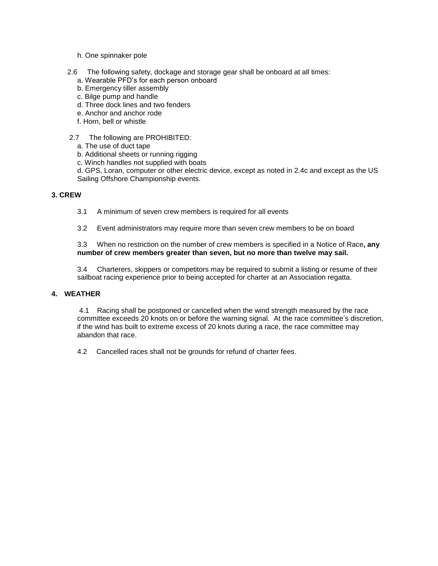- h. One spinnaker pole
- 2.6 The following safety, dockage and storage gear shall be onboard at all times:
	- a. Wearable PFD's for each person onboard
	- b. Emergency tiller assembly
	- c. Bilge pump and handle
	- d. Three dock lines and two fenders
	- e. Anchor and anchor rode
	- f. Horn, bell or whistle
- 2.7 The following are PROHIBITED:
	- a. The use of duct tape
	- b. Additional sheets or running rigging
	- c. Winch handles not supplied with boats

d. GPS, Loran, computer or other electric device, except as noted in 2.4c and except as the US Sailing Offshore Championship events.

#### **3. CREW**

- 3.1 A minimum of seven crew members is required for all events
- 3.2 Event administrators may require more than seven crew members to be on board

3.3 When no restriction on the number of crew members is specified in a Notice of Race**, any number of crew members greater than seven, but no more than twelve may sail.**

3.4 Charterers, skippers or competitors may be required to submit a listing or resume of their sailboat racing experience prior to being accepted for charter at an Association regatta.

#### **4. WEATHER**

4.1 Racing shall be postponed or cancelled when the wind strength measured by the race committee exceeds 20 knots on or before the warning signal. At the race committee's discretion, if the wind has built to extreme excess of 20 knots during a race, the race committee may abandon that race.

4.2 Cancelled races shall not be grounds for refund of charter fees.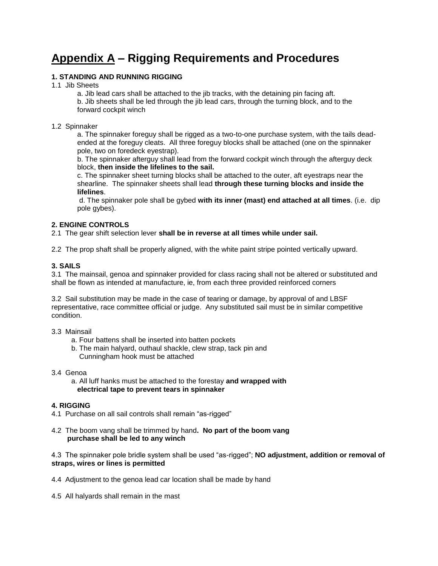## **Appendix A – Rigging Requirements and Procedures**

#### **1. STANDING AND RUNNING RIGGING**

1.1 Jib Sheets

a. Jib lead cars shall be attached to the jib tracks, with the detaining pin facing aft.

b. Jib sheets shall be led through the jib lead cars, through the turning block, and to the forward cockpit winch

#### 1.2 Spinnaker

a. The spinnaker foreguy shall be rigged as a two-to-one purchase system, with the tails deadended at the foreguy cleats. All three foreguy blocks shall be attached (one on the spinnaker pole, two on foredeck eyestrap).

b. The spinnaker afterguy shall lead from the forward cockpit winch through the afterguy deck block, **then inside the lifelines to the sail.**

c. The spinnaker sheet turning blocks shall be attached to the outer, aft eyestraps near the shearline. The spinnaker sheets shall lead **through these turning blocks and inside the lifelines**.

d. The spinnaker pole shall be gybed **with its inner (mast) end attached at all times**. (i.e. dip pole gybes).

#### **2. ENGINE CONTROLS**

2.1 The gear shift selection lever **shall be in reverse at all times while under sail.**

2.2 The prop shaft shall be properly aligned, with the white paint stripe pointed vertically upward.

#### **3. SAILS**

3.1 The mainsail, genoa and spinnaker provided for class racing shall not be altered or substituted and shall be flown as intended at manufacture, ie, from each three provided reinforced corners

3.2 Sail substitution may be made in the case of tearing or damage, by approval of and LBSF representative, race committee official or judge. Any substituted sail must be in similar competitive condition.

#### 3.3 Mainsail

- a. Four battens shall be inserted into batten pockets
- b. The main halyard, outhaul shackle, clew strap, tack pin and Cunningham hook must be attached

3.4 Genoa

 a. All luff hanks must be attached to the forestay **and wrapped with electrical tape to prevent tears in spinnaker**

#### **4. RIGGING**

- 4.1 Purchase on all sail controls shall remain "as-rigged"
- 4.2 The boom vang shall be trimmed by hand**. No part of the boom vang purchase shall be led to any winch**

4.3 The spinnaker pole bridle system shall be used "as-rigged"; **NO adjustment, addition or removal of straps, wires or lines is permitted**

- 4.4 Adjustment to the genoa lead car location shall be made by hand
- 4.5 All halyards shall remain in the mast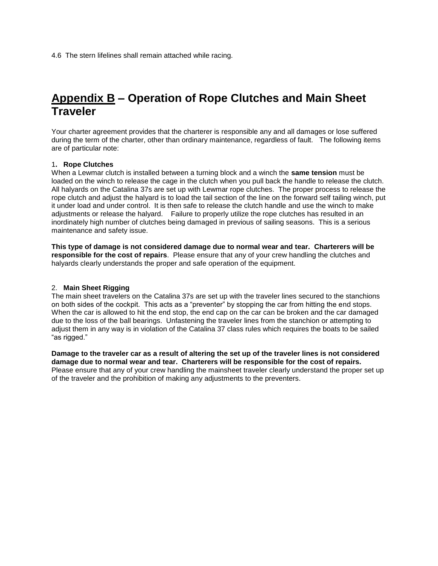### **Appendix B – Operation of Rope Clutches and Main Sheet Traveler**

Your charter agreement provides that the charterer is responsible any and all damages or lose suffered during the term of the charter, other than ordinary maintenance, regardless of fault. The following items are of particular note:

#### 1**. Rope Clutches**

When a Lewmar clutch is installed between a turning block and a winch the **same tension** must be loaded on the winch to release the cage in the clutch when you pull back the handle to release the clutch. All halyards on the Catalina 37s are set up with Lewmar rope clutches. The proper process to release the rope clutch and adjust the halyard is to load the tail section of the line on the forward self tailing winch, put it under load and under control. It is then safe to release the clutch handle and use the winch to make adjustments or release the halyard. Failure to properly utilize the rope clutches has resulted in an inordinately high number of clutches being damaged in previous of sailing seasons. This is a serious maintenance and safety issue.

**This type of damage is not considered damage due to normal wear and tear. Charterers will be responsible for the cost of repairs**. Please ensure that any of your crew handling the clutches and halyards clearly understands the proper and safe operation of the equipment.

#### 2. **Main Sheet Rigging**

The main sheet travelers on the Catalina 37s are set up with the traveler lines secured to the stanchions on both sides of the cockpit. This acts as a "preventer" by stopping the car from hitting the end stops. When the car is allowed to hit the end stop, the end cap on the car can be broken and the car damaged due to the loss of the ball bearings. Unfastening the traveler lines from the stanchion or attempting to adjust them in any way is in violation of the Catalina 37 class rules which requires the boats to be sailed "as rigged."

**Damage to the traveler car as a result of altering the set up of the traveler lines is not considered damage due to normal wear and tear. Charterers will be responsible for the cost of repairs.** Please ensure that any of your crew handling the mainsheet traveler clearly understand the proper set up of the traveler and the prohibition of making any adjustments to the preventers.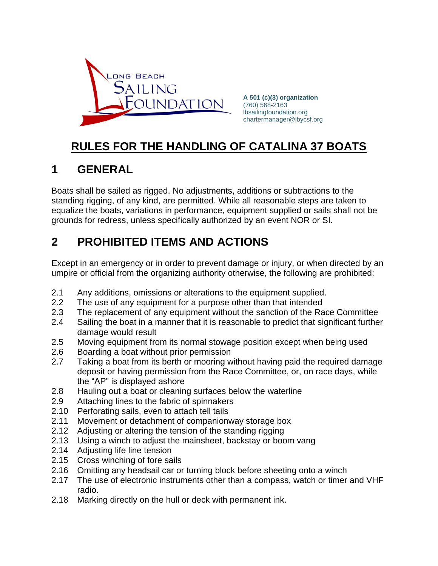

**A 501 (c)(3) organization** (760) 568-2163 lbsailingfoundation.org chartermanager@lbycsf.org

## **RULES FOR THE HANDLING OF CATALINA 37 BOATS**

### **1 GENERAL**

Boats shall be sailed as rigged. No adjustments, additions or subtractions to the standing rigging, of any kind, are permitted. While all reasonable steps are taken to equalize the boats, variations in performance, equipment supplied or sails shall not be grounds for redress, unless specifically authorized by an event NOR or SI.

### **2 PROHIBITED ITEMS AND ACTIONS**

Except in an emergency or in order to prevent damage or injury, or when directed by an umpire or official from the organizing authority otherwise, the following are prohibited:

- 2.1 Any additions, omissions or alterations to the equipment supplied.
- 2.2 The use of any equipment for a purpose other than that intended
- 2.3 The replacement of any equipment without the sanction of the Race Committee
- 2.4 Sailing the boat in a manner that it is reasonable to predict that significant further damage would result
- 2.5 Moving equipment from its normal stowage position except when being used
- 2.6 Boarding a boat without prior permission
- 2.7 Taking a boat from its berth or mooring without having paid the required damage deposit or having permission from the Race Committee, or, on race days, while the "AP" is displayed ashore
- 2.8 Hauling out a boat or cleaning surfaces below the waterline
- 2.9 Attaching lines to the fabric of spinnakers
- 2.10 Perforating sails, even to attach tell tails
- 2.11 Movement or detachment of companionway storage box
- 2.12 Adjusting or altering the tension of the standing rigging
- 2.13 Using a winch to adjust the mainsheet, backstay or boom vang
- 2.14 Adjusting life line tension
- 2.15 Cross winching of fore sails
- 2.16 Omitting any headsail car or turning block before sheeting onto a winch
- 2.17 The use of electronic instruments other than a compass, watch or timer and VHF radio.
- 2.18 Marking directly on the hull or deck with permanent ink.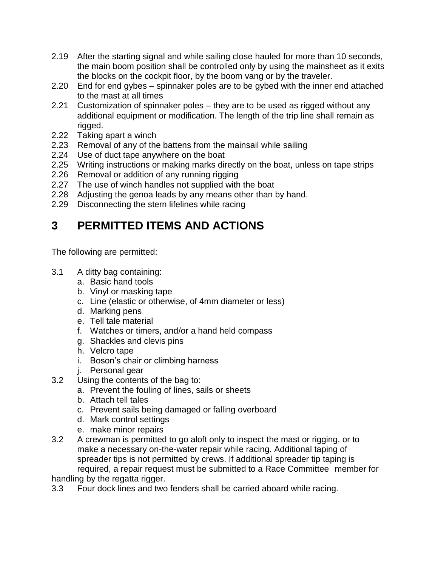- 2.19 After the starting signal and while sailing close hauled for more than 10 seconds, the main boom position shall be controlled only by using the mainsheet as it exits the blocks on the cockpit floor, by the boom vang or by the traveler.
- 2.20 End for end gybes spinnaker poles are to be gybed with the inner end attached to the mast at all times
- 2.21 Customization of spinnaker poles they are to be used as rigged without any additional equipment or modification. The length of the trip line shall remain as rigged.
- 2.22 Taking apart a winch
- 2.23 Removal of any of the battens from the mainsail while sailing
- 2.24 Use of duct tape anywhere on the boat
- 2.25 Writing instructions or making marks directly on the boat, unless on tape strips
- 2.26 Removal or addition of any running rigging
- 2.27 The use of winch handles not supplied with the boat
- 2.28 Adjusting the genoa leads by any means other than by hand.
- 2.29 Disconnecting the stern lifelines while racing

## **3 PERMITTED ITEMS AND ACTIONS**

The following are permitted:

- 3.1 A ditty bag containing:
	- a. Basic hand tools
	- b. Vinyl or masking tape
	- c. Line (elastic or otherwise, of 4mm diameter or less)
	- d. Marking pens
	- e. Tell tale material
	- f. Watches or timers, and/or a hand held compass
	- g. Shackles and clevis pins
	- h. Velcro tape
	- i. Boson's chair or climbing harness
	- j. Personal gear
- 3.2 Using the contents of the bag to:
	- a. Prevent the fouling of lines, sails or sheets
	- b. Attach tell tales
	- c. Prevent sails being damaged or falling overboard
	- d. Mark control settings
	- e. make minor repairs
- 3.2 A crewman is permitted to go aloft only to inspect the mast or rigging, or to make a necessary on-the-water repair while racing. Additional taping of spreader tips is not permitted by crews. If additional spreader tip taping is required, a repair request must be submitted to a Race Committee member for

handling by the regatta rigger.

3.3 Four dock lines and two fenders shall be carried aboard while racing.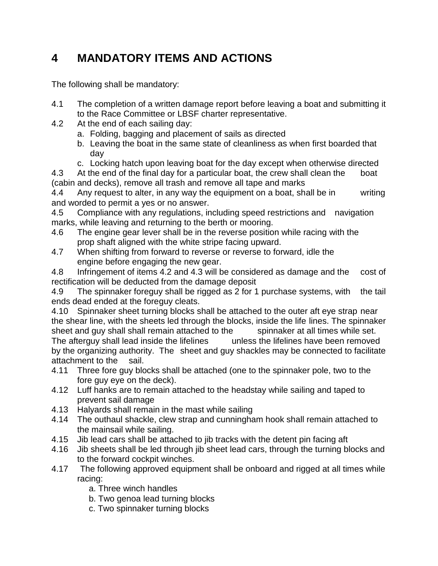# **4 MANDATORY ITEMS AND ACTIONS**

The following shall be mandatory:

- 4.1 The completion of a written damage report before leaving a boat and submitting it to the Race Committee or LBSF charter representative.
- 4.2 At the end of each sailing day:
	- a. Folding, bagging and placement of sails as directed
	- b. Leaving the boat in the same state of cleanliness as when first boarded that day
	- c. Locking hatch upon leaving boat for the day except when otherwise directed

4.3 At the end of the final day for a particular boat, the crew shall clean the boat (cabin and decks), remove all trash and remove all tape and marks

4.4 Any request to alter, in any way the equipment on a boat, shall be in writing and worded to permit a yes or no answer.

4.5 Compliance with any regulations, including speed restrictions and navigation marks, while leaving and returning to the berth or mooring.

- 4.6 The engine gear lever shall be in the reverse position while racing with the prop shaft aligned with the white stripe facing upward.
- 4.7 When shifting from forward to reverse or reverse to forward, idle the engine before engaging the new gear.

4.8 Infringement of items 4.2 and 4.3 will be considered as damage and the cost of rectification will be deducted from the damage deposit

4.9 The spinnaker foreguy shall be rigged as 2 for 1 purchase systems, with the tail ends dead ended at the foreguy cleats.

4.10 Spinnaker sheet turning blocks shall be attached to the outer aft eye strap near the shear line, with the sheets led through the blocks, inside the life lines. The spinnaker sheet and guy shall shall remain attached to the spinnaker at all times while set. The afterguy shall lead inside the lifelines unless the lifelines have been removed by the organizing authority. The sheet and guy shackles may be connected to facilitate attachment to the sail.

- 4.11 Three fore guy blocks shall be attached (one to the spinnaker pole, two to the fore guy eye on the deck).
- 4.12 Luff hanks are to remain attached to the headstay while sailing and taped to prevent sail damage
- 4.13 Halyards shall remain in the mast while sailing
- 4.14 The outhaul shackle, clew strap and cunningham hook shall remain attached to the mainsail while sailing.
- 4.15 Jib lead cars shall be attached to jib tracks with the detent pin facing aft
- 4.16 Jib sheets shall be led through jib sheet lead cars, through the turning blocks and to the forward cockpit winches.
- 4.17 The following approved equipment shall be onboard and rigged at all times while racing:
	- a. Three winch handles
	- b. Two genoa lead turning blocks
	- c. Two spinnaker turning blocks